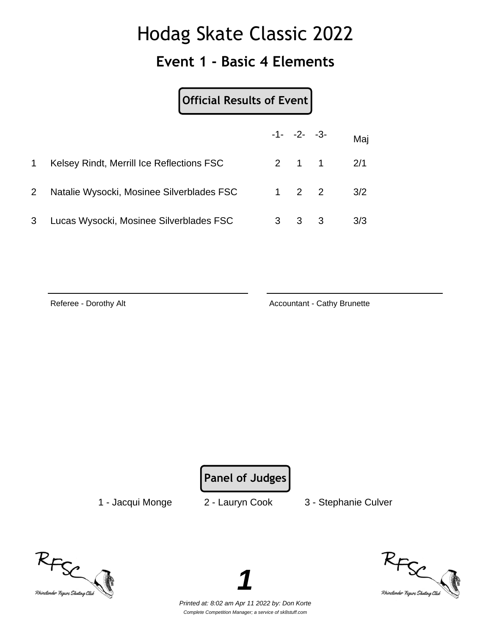#### **Event 1 - Basic 4 Elements**

| <b>Official Results of Event</b> |  |
|----------------------------------|--|
|----------------------------------|--|

|              |                                           |   | $-1 - -2 - -3$      |                   | Maj |
|--------------|-------------------------------------------|---|---------------------|-------------------|-----|
|              | Kelsey Rindt, Merrill Ice Reflections FSC |   |                     | $2 \t1 \t1 \t2/1$ |     |
| $\mathbf{2}$ | Natalie Wysocki, Mosinee Silverblades FSC |   | $1 \quad 2 \quad 2$ |                   | 3/2 |
| 3            | Lucas Wysocki, Mosinee Silverblades FSC   | 3 | $3 \quad 3$         |                   | 3/3 |

Referee - Dorothy Alt **Accountant - Cathy Brunette** Accountant - Cathy Brunette

**Panel of Judges**

1 - Jacqui Monge 2 - Lauryn Cook 3 - Stephanie Culver





Printed at: 8:02 am Apr 11 2022 by: Don Korte Complete Competition Manager; a service of sk8stuff.com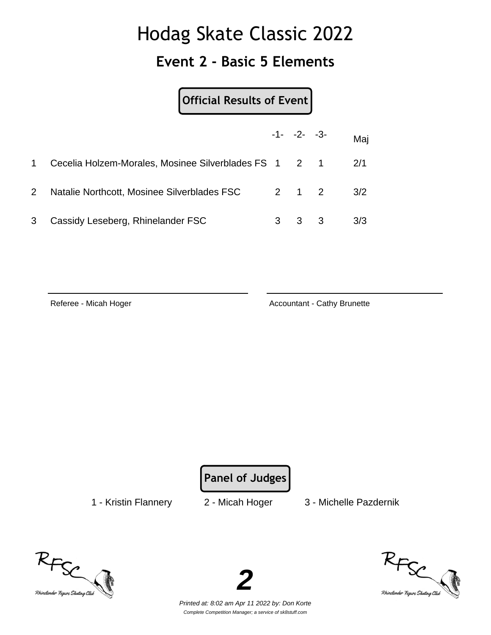### **Event 2 - Basic 5 Elements**

**Official Results of Event**

|                       |                                                       | $-1 - -2 - -3$ | Maj |
|-----------------------|-------------------------------------------------------|----------------|-----|
| $\mathbf 1$           | Cecelia Holzem-Morales, Mosinee Silverblades FS 1 2 1 |                | 2/1 |
| $\mathbf{2}^{\prime}$ | Natalie Northcott, Mosinee Silverblades FSC           | 2 1 2          | 3/2 |
| 3                     | Cassidy Leseberg, Rhinelander FSC                     | 3 3            | 3/3 |

Referee - Micah Hoger **Accountant - Cathy Brunette** Accountant - Cathy Brunette

**Panel of Judges**

1 - Kristin Flannery 2 - Micah Hoger 3 - Michelle Pazdernik





Printed at: 8:02 am Apr 11 2022 by: Don Korte Complete Competition Manager; a service of sk8stuff.com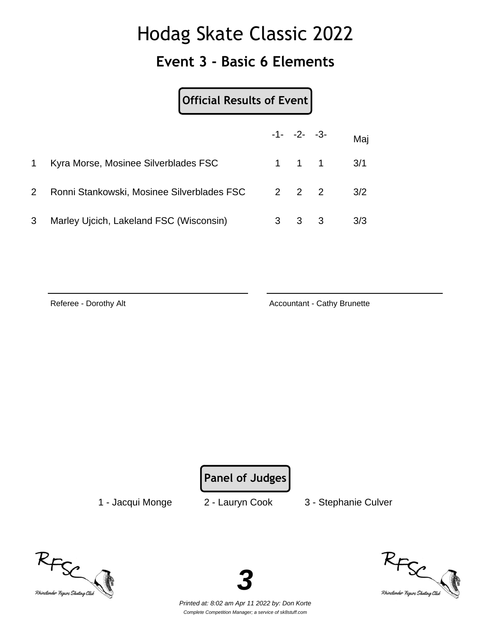### **Event 3 - Basic 6 Elements**

|   | Official Results of Event                  |  |                     |     |     |
|---|--------------------------------------------|--|---------------------|-----|-----|
|   |                                            |  | $-1 - -2 - -3$      |     | Maj |
|   | Kyra Morse, Mosinee Silverblades FSC       |  | $1 \quad 1 \quad 1$ |     | 3/1 |
|   | Ronni Stankowski, Mosinee Silverblades FSC |  | $2 \quad 2 \quad 2$ |     | 3/2 |
| 3 | Marley Ujcich, Lakeland FSC (Wisconsin)    |  | 3                   | - 3 | 3/3 |

Referee - Dorothy Alt **Accountant - Cathy Brunette** Accountant - Cathy Brunette

**Panel of Judges**

1 - Jacqui Monge 2 - Lauryn Cook 3 - Stephanie Culver





Printed at: 8:02 am Apr 11 2022 by: Don Korte Complete Competition Manager; a service of sk8stuff.com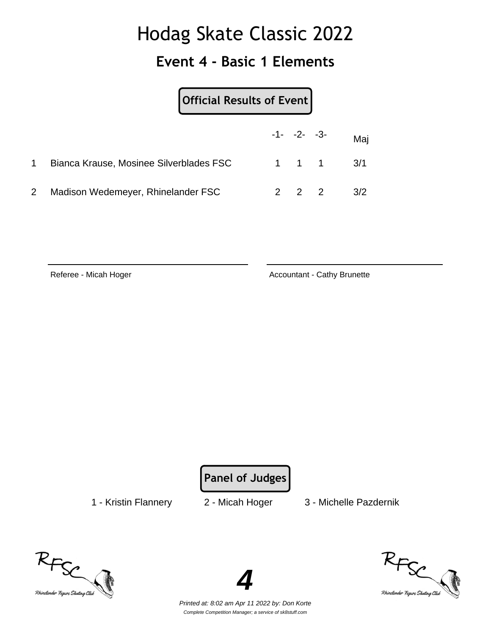#### **Event 4 - Basic 1 Elements**

|              |                                                   | Official Results of Event |  |  |                      |  |
|--------------|---------------------------------------------------|---------------------------|--|--|----------------------|--|
|              |                                                   |                           |  |  | $-1 - -2 - -3 -$ Maj |  |
|              | Bianca Krause, Mosinee Silverblades FSC 1 1 1 3/1 |                           |  |  |                      |  |
| $\mathbf{2}$ | Madison Wedemeyer, Rhinelander FSC                |                           |  |  | $2 \t2 \t2 \t3/2$    |  |

Referee - Micah Hoger Accountant - Cathy Brunette

**Panel of Judges**

1 - Kristin Flannery 2 - Micah Hoger 3 - Michelle Pazdernik





Printed at: 8:02 am Apr 11 2022 by: Don Korte Complete Competition Manager; a service of sk8stuff.com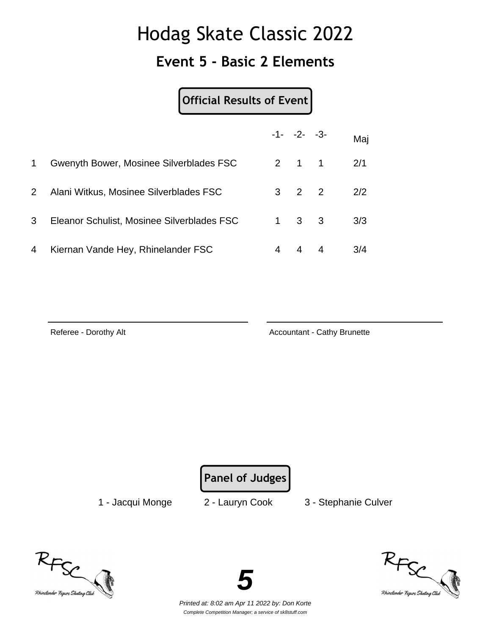#### **Event 5 - Basic 2 Elements**

#### **Official Results of Event**

|              |                                            | $-1 - -2 - -3$      | Maj |
|--------------|--------------------------------------------|---------------------|-----|
| 1            | Gwenyth Bower, Mosinee Silverblades FSC    | $2 \quad 1 \quad 1$ | 2/1 |
| $\mathbf{2}$ | Alani Witkus, Mosinee Silverblades FSC     | $3 \quad 2 \quad 2$ | 2/2 |
| 3            | Eleanor Schulist, Mosinee Silverblades FSC | $1 \quad 3 \quad 3$ | 3/3 |
| 4            | Kiernan Vande Hey, Rhinelander FSC         |                     | 3/4 |

Referee - Dorothy Alt **Accountant - Cathy Brunette** Accountant - Cathy Brunette

**Panel of Judges**

1 - Jacqui Monge 2 - Lauryn Cook 3 - Stephanie Culver





Printed at: 8:02 am Apr 11 2022 by: Don Korte Complete Competition Manager; a service of sk8stuff.com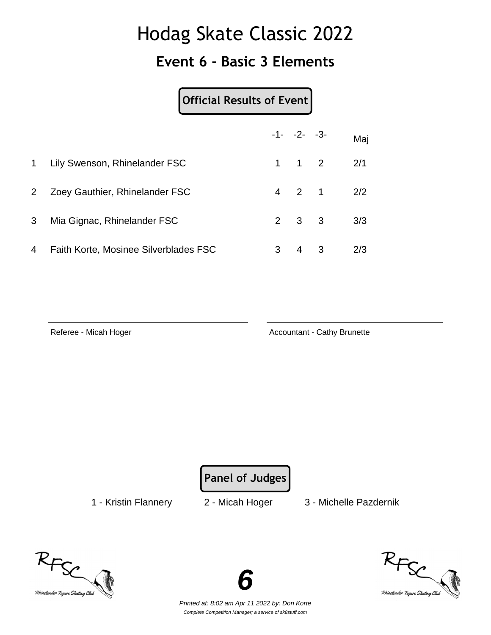### **Event 6 - Basic 3 Elements**

|                |                                | Official Results of Event |                     |     |           |
|----------------|--------------------------------|---------------------------|---------------------|-----|-----------|
|                |                                |                           | $-1 - -2 - -3$      |     | Maj       |
| $\mathbf 1$    | Lily Swenson, Rhinelander FSC  |                           | $1 \quad 1 \quad 2$ |     | 2/1       |
| $\overline{2}$ | Zoey Gauthier, Rhinelander FSC |                           |                     |     | 4 2 1 2/2 |
| 3              | Mia Gignac, Rhinelander FSC    |                           | 3                   | - 3 | 3/3       |

| 4 Faith Korte, Mosinee Silverblades FSC |  | $3 \t 4 \t 3 \t 2/3$ |
|-----------------------------------------|--|----------------------|

Referee - Micah Hoger Accountant - Cathy Brunette

**Panel of Judges**

1 - Kristin Flannery 2 - Micah Hoger 3 - Michelle Pazdernik





Printed at: 8:02 am Apr 11 2022 by: Don Korte Complete Competition Manager; a service of sk8stuff.com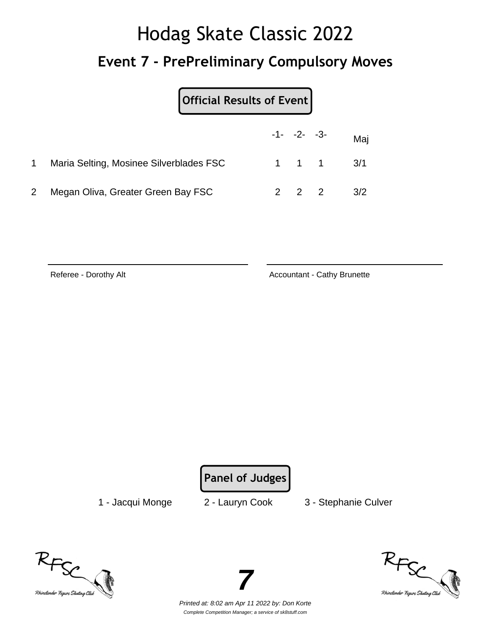# Hodag Skate Classic 2022 **Event 7 - PrePreliminary Compulsory Moves**

| Official Results of Event               |  |                     |                               |
|-----------------------------------------|--|---------------------|-------------------------------|
|                                         |  | $-1 - -2 - -3$      | Maj                           |
| Maria Selting, Mosinee Silverblades FSC |  |                     | $1 \quad 1 \quad 1 \quad 3/1$ |
| Megan Oliva, Greater Green Bay FSC      |  | $2 \quad 2 \quad 2$ | 3/2                           |

Referee - Dorothy Alt **Accountant - Cathy Brunette** Accountant - Cathy Brunette

**Panel of Judges**

1 - Jacqui Monge 2 - Lauryn Cook 3 - Stephanie Culver





Printed at: 8:02 am Apr 11 2022 by: Don Korte Complete Competition Manager; a service of sk8stuff.com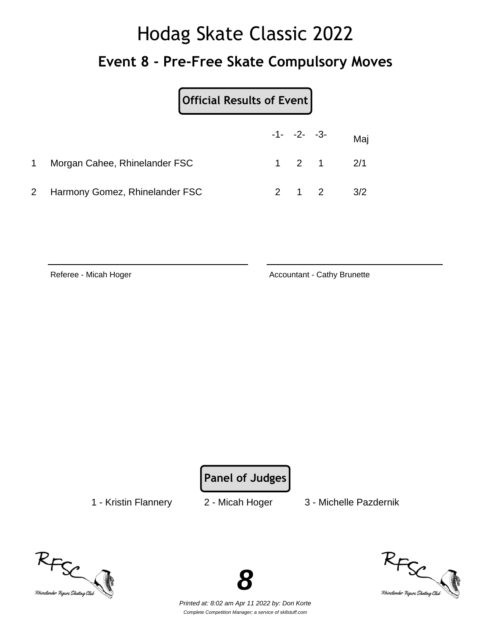# Hodag Skate Classic 2022 **Event 8 - Pre-Free Skate Compulsory Moves**

|                                  | Official Results of Event |  |                     |                      |     |  |  |  |
|----------------------------------|---------------------------|--|---------------------|----------------------|-----|--|--|--|
|                                  |                           |  |                     | $-1 - -2 - -3 -$ Maj |     |  |  |  |
| Morgan Cahee, Rhinelander FSC    |                           |  |                     | $1 \t2 \t1 \t2/1$    |     |  |  |  |
| 2 Harmony Gomez, Rhinelander FSC |                           |  | $2 \quad 1 \quad 2$ |                      | 3/2 |  |  |  |

Referee - Micah Hoger Accountant - Cathy Brunette

**Panel of Judges**

1 - Kristin Flannery 2 - Micah Hoger 3 - Michelle Pazdernik





Printed at: 8:02 am Apr 11 2022 by: Don Korte Complete Competition Manager; a service of sk8stuff.com

**8**

RFSC<br>Rhinelander Figure Skating Click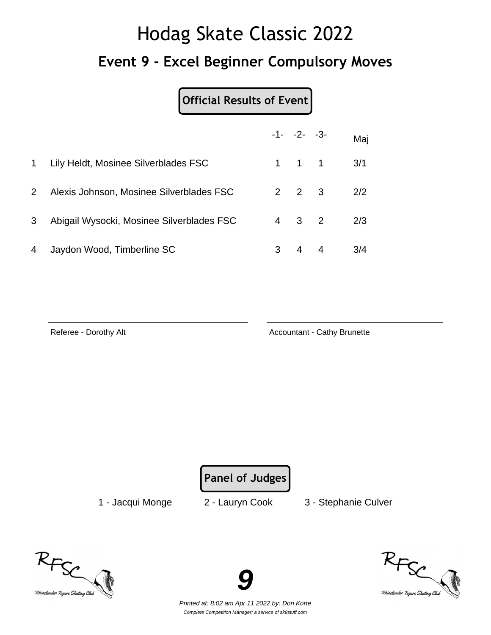# Hodag Skate Classic 2022 **Event 9 - Excel Beginner Compulsory Moves**

### **Official Results of Event**

|                |                                           |   | $-1 - -2 - -3$      | Maj |
|----------------|-------------------------------------------|---|---------------------|-----|
| 1              | Lily Heldt, Mosinee Silverblades FSC      |   | $1 \quad 1 \quad 1$ | 3/1 |
| $\overline{2}$ | Alexis Johnson, Mosinee Silverblades FSC  |   | $2 \quad 2 \quad 3$ | 2/2 |
| 3              | Abigail Wysocki, Mosinee Silverblades FSC |   | $4 \quad 3 \quad 2$ | 2/3 |
| 4              | Jaydon Wood, Timberline SC                | 3 | 4                   | 3/4 |

Referee - Dorothy Alt **Accountant - Cathy Brunette** Accountant - Cathy Brunette

**Panel of Judges**

1 - Jacqui Monge 2 - Lauryn Cook 3 - Stephanie Culver





Printed at: 8:02 am Apr 11 2022 by: Don Korte Complete Competition Manager; a service of sk8stuff.com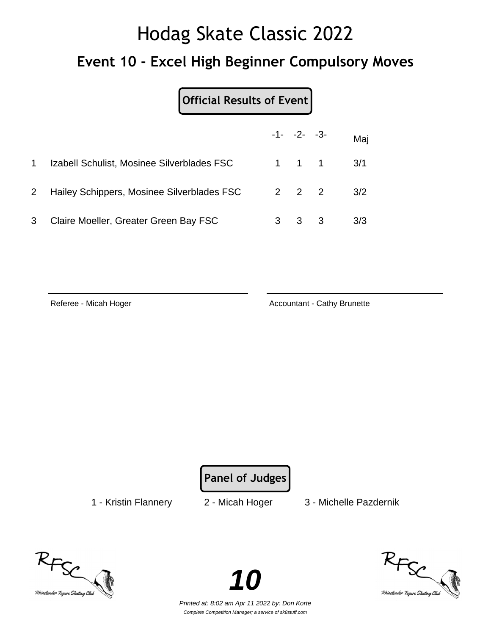# Hodag Skate Classic 2022 **Event 10 - Excel High Beginner Compulsory Moves**

### **Official Results of Event**

|              |                                            |   | $-1 - -2 - -3$      |                               | Maj |
|--------------|--------------------------------------------|---|---------------------|-------------------------------|-----|
|              | Izabell Schulist, Mosinee Silverblades FSC |   |                     | $1 \quad 1 \quad 1 \quad 3/1$ |     |
| $\mathbf{2}$ | Hailey Schippers, Mosinee Silverblades FSC |   | $2 \quad 2 \quad 2$ |                               | 3/2 |
| 3            | Claire Moeller, Greater Green Bay FSC      | 3 | $3 \quad 3$         |                               | 3/3 |

Referee - Micah Hoger **Accountant - Cathy Brunette** Accountant - Cathy Brunette

**Panel of Judges**

1 - Kristin Flannery 2 - Micah Hoger 3 - Michelle Pazdernik





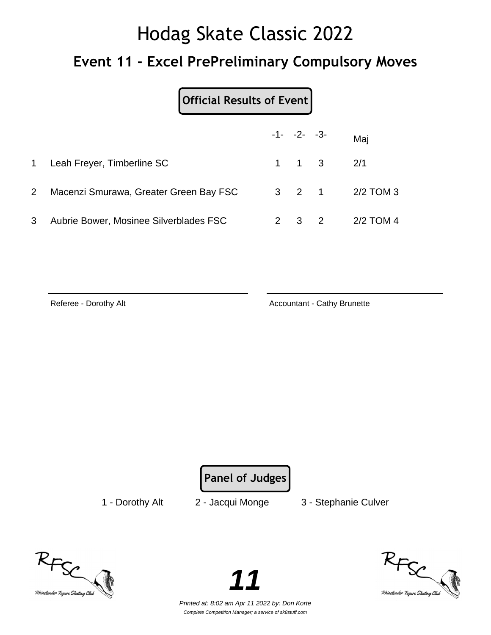### **Event 11 - Excel PrePreliminary Compulsory Moves**

### **Official Results of Event**

|                |                                        | $-1 - -2 - -3$ |                         | Mai             |
|----------------|----------------------------------------|----------------|-------------------------|-----------------|
|                | 1 Leah Freyer, Timberline SC           |                | $1 \t 1 \t 3 \t 2/1$    |                 |
| 2 <sup>1</sup> | Macenzi Smurawa, Greater Green Bay FSC |                |                         | 3 2 1 2/2 TOM 3 |
| 3              | Aubrie Bower, Mosinee Silverblades FSC | 2 3            | $\overline{\mathbf{2}}$ | 2/2 TOM 4       |

Referee - Dorothy Alt **Accountant - Cathy Brunette** Accountant - Cathy Brunette

**Panel of Judges**

1 - Dorothy Alt 2 - Jacqui Monge 3 - Stephanie Culver





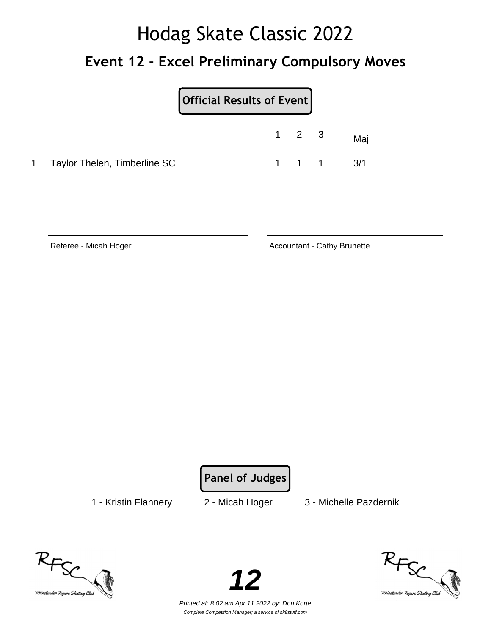# Hodag Skate Classic 2022 **Event 12 - Excel Preliminary Compulsory Moves**

| <b>Official Results of Event</b> |
|----------------------------------|
|----------------------------------|

|                                | $-1 - -2 - -3 -$ |  | Maj                           |
|--------------------------------|------------------|--|-------------------------------|
| 1 Taylor Thelen, Timberline SC |                  |  | $1 \quad 1 \quad 1 \quad 3/1$ |

Referee - Micah Hoger **Accountant - Cathy Brunette** Accountant - Cathy Brunette

**Panel of Judges**

1 - Kristin Flannery 2 - Micah Hoger 3 - Michelle Pazdernik





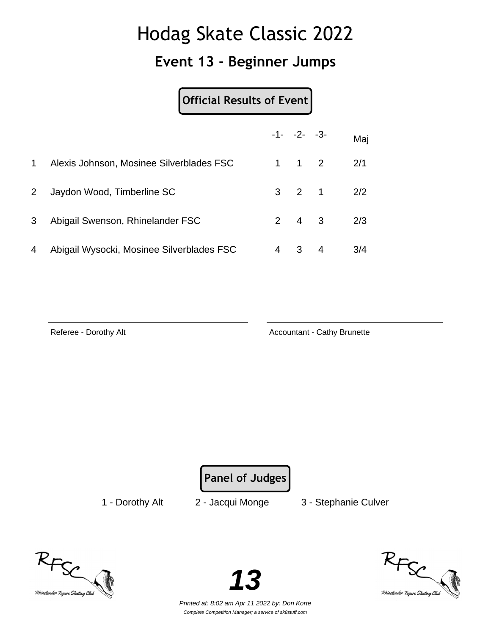### **Event 13 - Beginner Jumps**

#### **Official Results of Event**

|                |                                           |   | $-1 - -2 - -3$      |   | Maj |
|----------------|-------------------------------------------|---|---------------------|---|-----|
| 1              | Alexis Johnson, Mosinee Silverblades FSC  |   | $1 \quad 1 \quad 2$ |   | 2/1 |
| 2 <sup>1</sup> | Jaydon Wood, Timberline SC                |   | $3 \quad 2 \quad 1$ |   | 2/2 |
| 3              | Abigail Swenson, Rhinelander FSC          |   | $2 \quad 4 \quad 3$ |   | 2/3 |
| 4              | Abigail Wysocki, Mosinee Silverblades FSC | 4 | 3                   | 4 | 3/4 |

Referee - Dorothy Alt **Accountant - Cathy Brunette** Accountant - Cathy Brunette

**Panel of Judges**

1 - Dorothy Alt 2 - Jacqui Monge 3 - Stephanie Culver





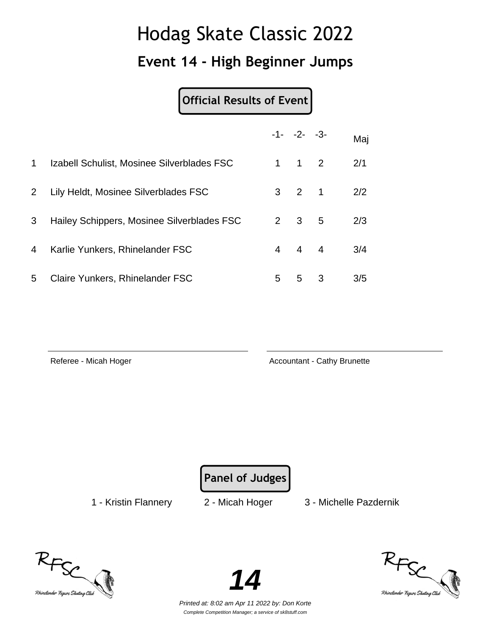### **Event 14 - High Beginner Jumps**

### **Official Results of Event**

|                |                                            |                | $-1 - -2 - -3$      |   | Maj |
|----------------|--------------------------------------------|----------------|---------------------|---|-----|
| $\mathbf 1$    | Izabell Schulist, Mosinee Silverblades FSC | 1.             | $1 \quad 2$         |   | 2/1 |
| $\overline{2}$ | Lily Heldt, Mosinee Silverblades FSC       |                | $3 \quad 2 \quad 1$ |   | 2/2 |
| 3              | Hailey Schippers, Mosinee Silverblades FSC | $\overline{2}$ | 3 <sub>5</sub>      |   | 2/3 |
| 4              | Karlie Yunkers, Rhinelander FSC            | $\overline{4}$ | $4 \quad 4$         |   | 3/4 |
| 5              | Claire Yunkers, Rhinelander FSC            | 5              | 5                   | 3 | 3/5 |

Referee - Micah Hoger **Accountant - Cathy Brunette** Accountant - Cathy Brunette

**Panel of Judges**

1 - Kristin Flannery 2 - Micah Hoger 3 - Michelle Pazdernik





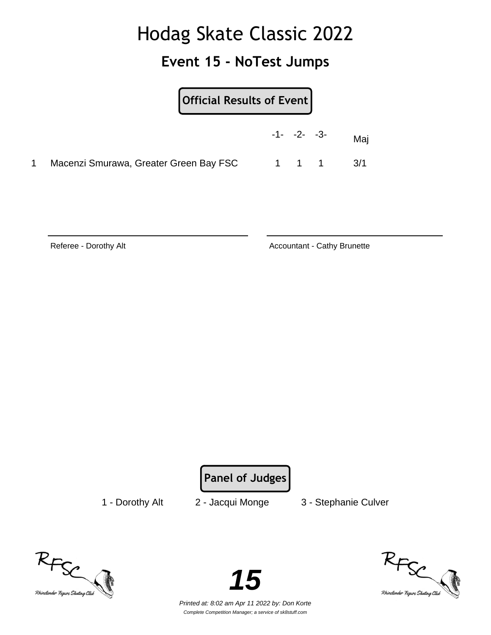### **Event 15 - NoTest Jumps**

|                                        | Official Results of Event |  |                |     |  |  |
|----------------------------------------|---------------------------|--|----------------|-----|--|--|
|                                        |                           |  | $-1 - -2 - -3$ | Mai |  |  |
| Macenzi Smurawa, Greater Green Bay FSC |                           |  | 1 1 1          | 3/1 |  |  |

Referee - Dorothy Alt **Accountant - Cathy Brunette** Accountant - Cathy Brunette

**Panel of Judges**

1 - Dorothy Alt 2 - Jacqui Monge 3 - Stephanie Culver





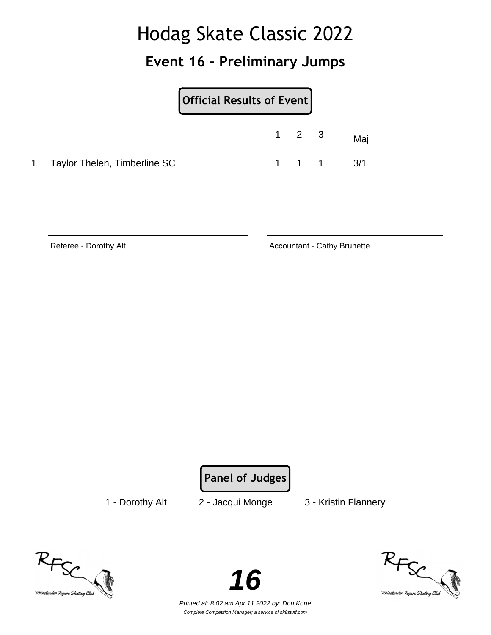### **Event 16 - Preliminary Jumps**

|                                | $-1 - -2 - -3 -$ |                               | Maj |
|--------------------------------|------------------|-------------------------------|-----|
| 1 Taylor Thelen, Timberline SC |                  | $1 \quad 1 \quad 1 \quad 3/1$ |     |

Referee - Dorothy Alt **Accountant - Cathy Brunette** Accountant - Cathy Brunette

**Panel of Judges**

1 - Dorothy Alt 2 - Jacqui Monge 3 - Kristin Flannery





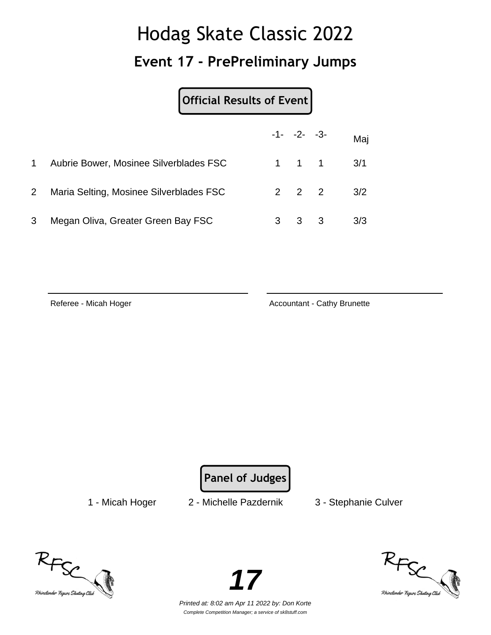## Hodag Skate Classic 2022 **Event 17 - PrePreliminary Jumps**

| Official Results of Event |  |
|---------------------------|--|
|                           |  |

|                |                                         | $-1 - -2 - -3$      |                               | Maj |
|----------------|-----------------------------------------|---------------------|-------------------------------|-----|
| 1              | Aubrie Bower, Mosinee Silverblades FSC  |                     | $1 \quad 1 \quad 1 \quad 3/1$ |     |
| $\overline{2}$ | Maria Selting, Mosinee Silverblades FSC | $2 \quad 2 \quad 2$ |                               | 3/2 |
| 3              | Megan Oliva, Greater Green Bay FSC      | $3 \quad 3$         |                               | 3/3 |

Referee - Micah Hoger **Accountant - Cathy Brunette** Accountant - Cathy Brunette

**Panel of Judges**

1 - Micah Hoger 2 - Michelle Pazdernik 3 - Stephanie Culver





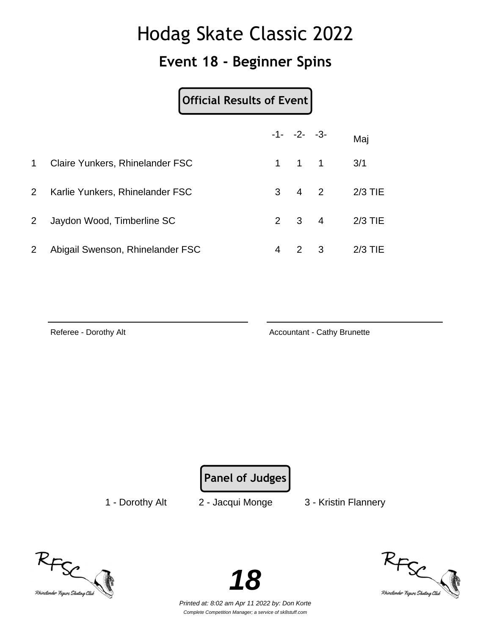### **Event 18 - Beginner Spins**

#### **Official Results of Event**

|                |                                  |   | $-1 - -2 - -3$      |                         | Maj       |
|----------------|----------------------------------|---|---------------------|-------------------------|-----------|
| $\mathbf{1}$   | Claire Yunkers, Rhinelander FSC  |   | $1 \quad 1 \quad 1$ |                         | 3/1       |
| $2^{\circ}$    | Karlie Yunkers, Rhinelander FSC  |   | $3 \quad 4 \quad 2$ |                         | $2/3$ TIE |
| 2 <sup>1</sup> | Jaydon Wood, Timberline SC       |   | $2 \quad 3 \quad 4$ |                         | $2/3$ TIE |
| $\overline{2}$ | Abigail Swenson, Rhinelander FSC | 4 | $\mathcal{P}$       | $\overline{\mathbf{3}}$ | $2/3$ TIE |

Referee - Dorothy Alt **Accountant - Cathy Brunette** Accountant - Cathy Brunette

**Panel of Judges**

1 - Dorothy Alt 2 - Jacqui Monge 3 - Kristin Flannery





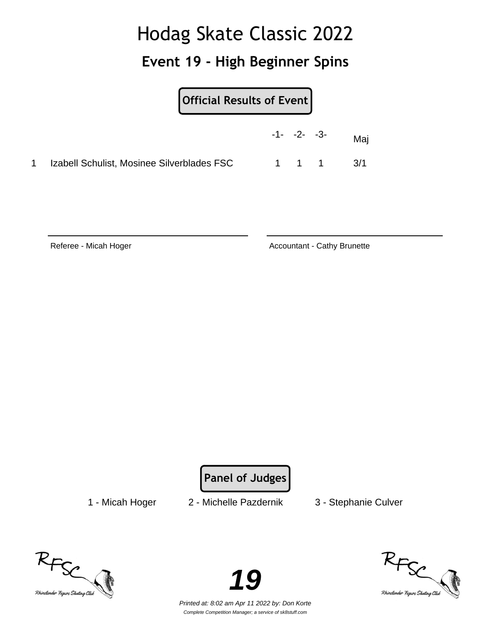### **Event 19 - High Beginner Spins**

|                                            | $-1 - -2 - -3$ |  | Mai       |
|--------------------------------------------|----------------|--|-----------|
| Izabell Schulist, Mosinee Silverblades FSC |                |  | 1 1 1 3/1 |

Referee - Micah Hoger **Accountant - Cathy Brunette** Accountant - Cathy Brunette

**Panel of Judges**

1 - Micah Hoger 2 - Michelle Pazdernik 3 - Stephanie Culver





RFSC<br>Rhinelander Figure Skating Club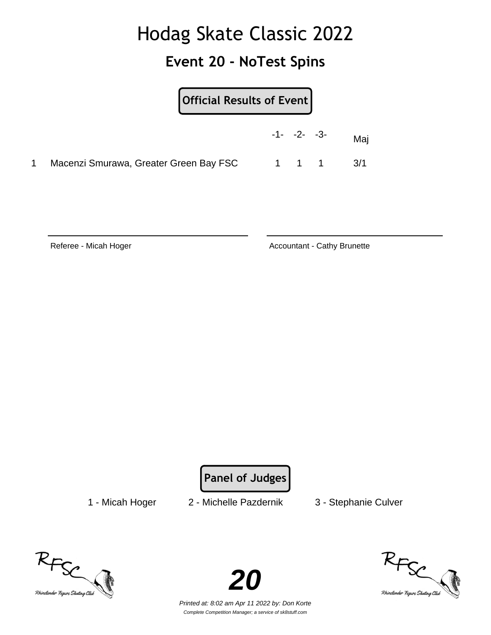### **Event 20 - NoTest Spins**

|                                        | Official Results of Event |  |  |           |  |  |
|----------------------------------------|---------------------------|--|--|-----------|--|--|
|                                        | $-1 - -2 - -3$            |  |  | Maj       |  |  |
| Macenzi Smurawa, Greater Green Bay FSC |                           |  |  | 1 1 1 3/1 |  |  |

Referee - Micah Hoger **Accountant - Cathy Brunette** Accountant - Cathy Brunette

**Panel of Judges**

1 - Micah Hoger 2 - Michelle Pazdernik 3 - Stephanie Culver





RFSC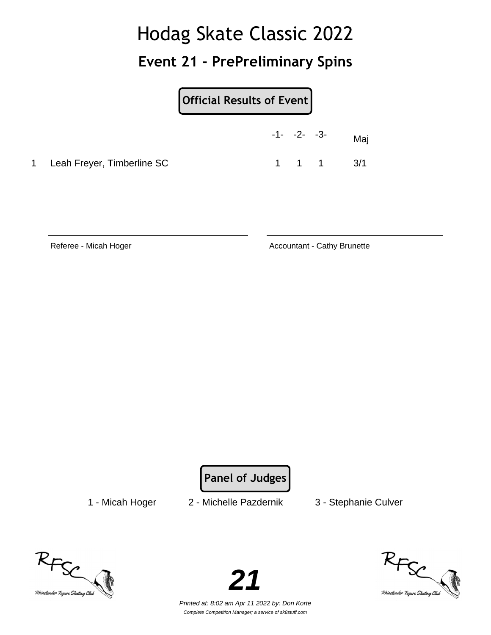### **Event 21 - PrePreliminary Spins**

### **Official Results of Event**

|                              |  | -1- -2- -3- Maj               |  |
|------------------------------|--|-------------------------------|--|
| 1 Leah Freyer, Timberline SC |  | $1 \quad 1 \quad 1 \quad 3/1$ |  |

Referee - Micah Hoger **Accountant - Cathy Brunette** Accountant - Cathy Brunette

**Panel of Judges**

1 - Micah Hoger 2 - Michelle Pazdernik 3 - Stephanie Culver





RFSC<br><sup>Rhinelander</sup> Figure Skating Clieb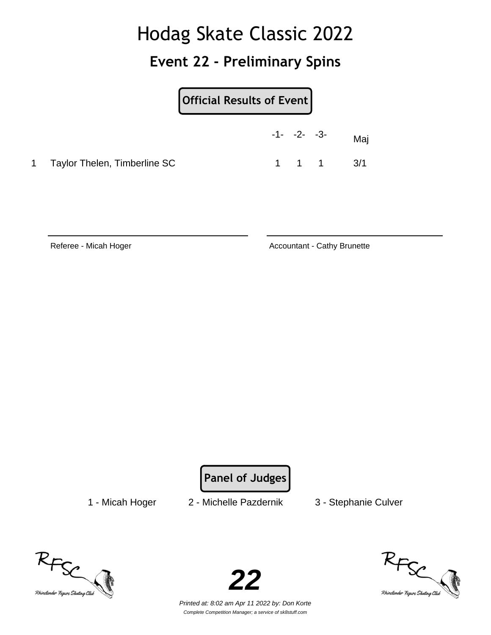### **Event 22 - Preliminary Spins**

| <b>Official Results of Event</b> |  |                   |
|----------------------------------|--|-------------------|
| $-1 - -2 - -3$                   |  | <i><b>Aai</b></i> |

1 Taylor Thelen, Timberline SC 1 1 1 3/1

Referee - Micah Hoger **Accountant - Cathy Brunette** Accountant - Cathy Brunette

**Panel of Judges**

1 - Micah Hoger 2 - Michelle Pazdernik 3 - Stephanie Culver





RFSC<br>Rhinelander Figure Skatong Club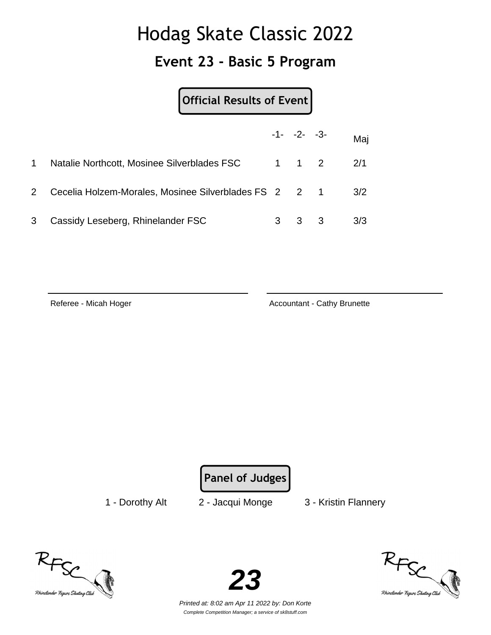#### **Event 23 - Basic 5 Program**

**Official Results of Event**

|              |                                                       | $-1 - -2 - -3$      | Maj |
|--------------|-------------------------------------------------------|---------------------|-----|
| $\mathbf 1$  | Natalie Northcott, Mosinee Silverblades FSC           | $1 \quad 1 \quad 2$ | 2/1 |
| $\mathbf{2}$ | Cecelia Holzem-Morales, Mosinee Silverblades FS 2 2 1 |                     | 3/2 |
| 3            | Cassidy Leseberg, Rhinelander FSC                     | $3 \quad 3$         | 3/3 |

Referee - Micah Hoger **Accountant - Cathy Brunette** Accountant - Cathy Brunette

**Panel of Judges**

1 - Dorothy Alt 2 - Jacqui Monge 3 - Kristin Flannery





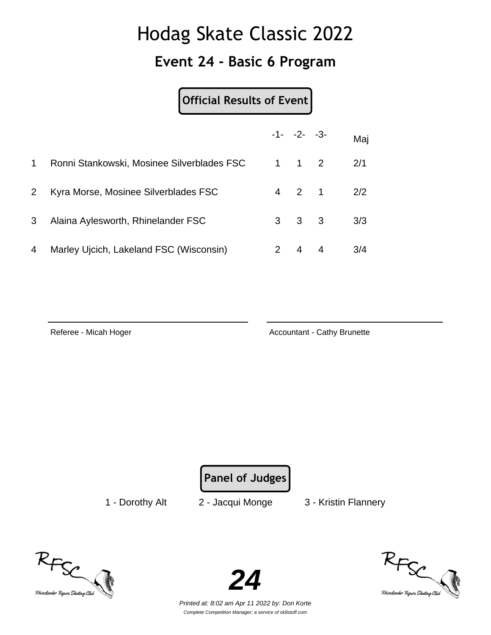#### **Event 24 - Basic 6 Program**

#### **Official Results of Event**

|                |                                            |   | $-1 - -2 - -3$      |   | Maj |
|----------------|--------------------------------------------|---|---------------------|---|-----|
| 1              | Ronni Stankowski, Mosinee Silverblades FSC |   | $1 \quad 1 \quad 2$ |   | 2/1 |
| 2 <sup>1</sup> | Kyra Morse, Mosinee Silverblades FSC       |   | 4 2 1               |   | 2/2 |
| 3              | Alaina Aylesworth, Rhinelander FSC         |   | $3 \quad 3 \quad 3$ |   | 3/3 |
| 4              | Marley Ujcich, Lakeland FSC (Wisconsin)    | 2 | $\overline{4}$      | 4 | 3/4 |

Referee - Micah Hoger **Accountant - Cathy Brunette** Accountant - Cathy Brunette

**Panel of Judges**

1 - Dorothy Alt 2 - Jacqui Monge 3 - Kristin Flannery





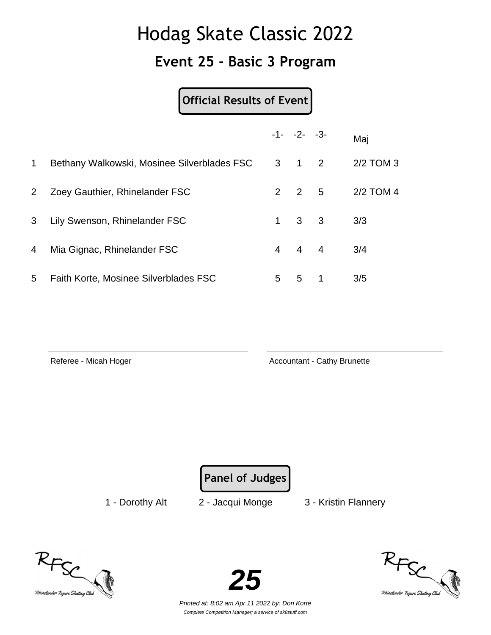#### **Event 25 - Basic 3 Program**

**Official Results of Event**

|              |                                             |   | $-1 - -2 - -3$      |   | Maj         |
|--------------|---------------------------------------------|---|---------------------|---|-------------|
| 1            | Bethany Walkowski, Mosinee Silverblades FSC |   | $3 \quad 1 \quad 2$ |   | $2/2$ TOM 3 |
| $\mathbf{2}$ | Zoey Gauthier, Rhinelander FSC              | 2 | 2 5                 |   | 2/2 TOM 4   |
| 3            | Lily Swenson, Rhinelander FSC               |   | $1 \quad 3 \quad 3$ |   | 3/3         |
| 4            | Mia Gignac, Rhinelander FSC                 |   | $4 \quad 4 \quad 4$ |   | 3/4         |
| 5            | Faith Korte, Mosinee Silverblades FSC       | 5 | 5                   | 1 | 3/5         |

Referee - Micah Hoger **Accountant - Cathy Brunette** Accountant - Cathy Brunette

**Panel of Judges**

1 - Dorothy Alt 2 - Jacqui Monge 3 - Kristin Flannery





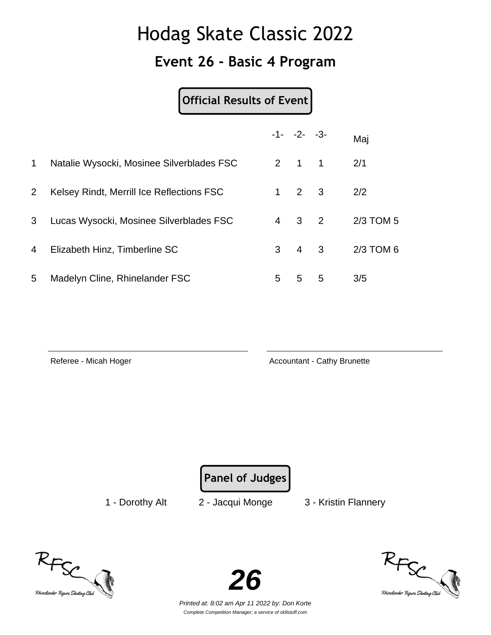#### **Event 26 - Basic 4 Program**

#### **Official Results of Event**

|              |                                           |                | $-1 - -2 - -3$ |                | Maj       |
|--------------|-------------------------------------------|----------------|----------------|----------------|-----------|
| $\mathbf 1$  | Natalie Wysocki, Mosinee Silverblades FSC |                | $2 \quad 1$    | $\overline{1}$ | 2/1       |
| $\mathbf{2}$ | Kelsey Rindt, Merrill Ice Reflections FSC | $\mathbf 1$    | $2 \quad 3$    |                | 2/2       |
| 3            | Lucas Wysocki, Mosinee Silverblades FSC   | $\overline{4}$ | $3 \quad 2$    |                | 2/3 TOM 5 |
| 4            | Elizabeth Hinz, Timberline SC             | 3              | $4 \quad 3$    |                | 2/3 TOM 6 |
| 5            | Madelyn Cline, Rhinelander FSC            | 5              | 5              | 5              | 3/5       |

Referee - Micah Hoger **Accountant - Cathy Brunette** Accountant - Cathy Brunette

**Panel of Judges**

1 - Dorothy Alt 2 - Jacqui Monge 3 - Kristin Flannery





RFSC<br>Rhinelander Figure Skating Club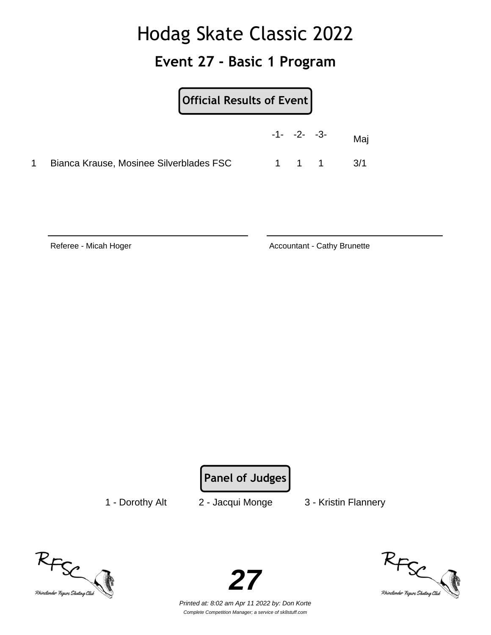#### **Event 27 - Basic 1 Program**

|                                         | Official Results of Event |  |                     |     |
|-----------------------------------------|---------------------------|--|---------------------|-----|
|                                         | $-1 - -2 - -3$            |  |                     | Maj |
| Bianca Krause, Mosinee Silverblades FSC |                           |  | $1 \quad 1 \quad 1$ | 3/1 |

Referee - Micah Hoger **Accountant - Cathy Brunette** Accountant - Cathy Brunette

**Panel of Judges**

1 - Dorothy Alt 2 - Jacqui Monge 3 - Kristin Flannery





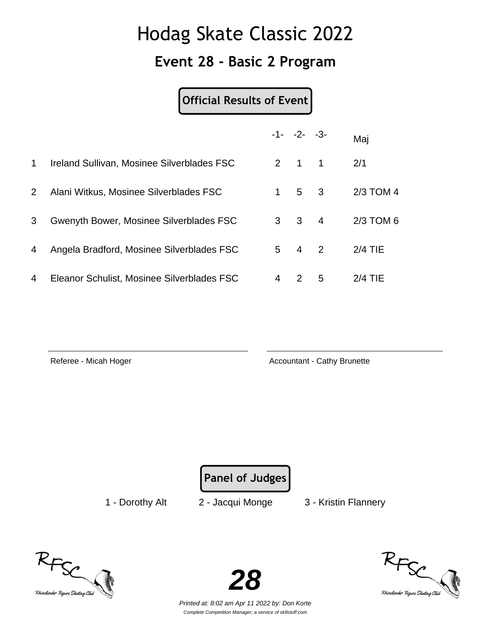### **Event 28 - Basic 2 Program**

#### **Official Results of Event**

|              |                                            |   | $-1 - -2 - -3$      |                | Maj       |
|--------------|--------------------------------------------|---|---------------------|----------------|-----------|
| 1            | Ireland Sullivan, Mosinee Silverblades FSC | 2 | $\overline{1}$      | $\overline{1}$ | 2/1       |
| $\mathbf{2}$ | Alani Witkus, Mosinee Silverblades FSC     | 1 | $5 \quad 3$         |                | 2/3 TOM 4 |
| 3            | Gwenyth Bower, Mosinee Silverblades FSC    |   | $3 \quad 3 \quad 4$ |                | 2/3 TOM 6 |
| 4            | Angela Bradford, Mosinee Silverblades FSC  | 5 | $\overline{4}$      | 2              | $2/4$ TIE |
| 4            | Eleanor Schulist, Mosinee Silverblades FSC | 4 | $\mathcal{P}$       | 5              | $2/4$ TIE |

Referee - Micah Hoger **Accountant - Cathy Brunette** Accountant - Cathy Brunette

**Panel of Judges**

1 - Dorothy Alt 2 - Jacqui Monge 3 - Kristin Flannery





RFSC<br>Rhinelander Figure Skating Club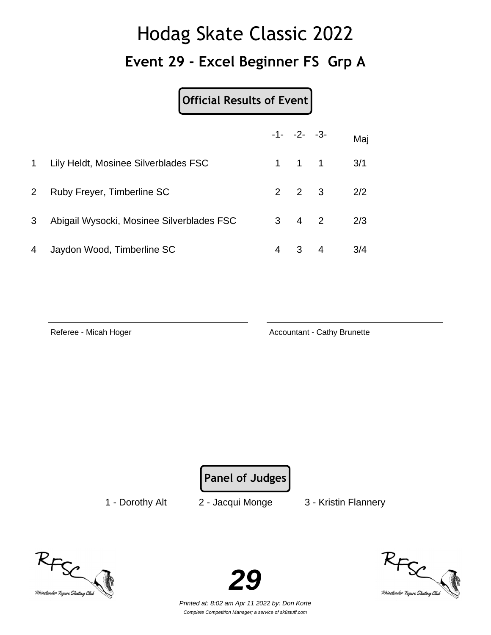# Hodag Skate Classic 2022 **Event 29 - Excel Beginner FS Grp A**

### **Official Results of Event**

|                |                                           |   | $-1 - -2 - -3$      | Maj |
|----------------|-------------------------------------------|---|---------------------|-----|
| 1              | Lily Heldt, Mosinee Silverblades FSC      |   | $1 \quad 1 \quad 1$ | 3/1 |
| $\overline{2}$ | Ruby Freyer, Timberline SC                |   | $2 \quad 2 \quad 3$ | 2/2 |
| 3              | Abigail Wysocki, Mosinee Silverblades FSC |   | $3 \quad 4 \quad 2$ | 2/3 |
| 4              | Jaydon Wood, Timberline SC                | 4 | 3 4                 | 3/4 |

Referee - Micah Hoger **Accountant - Cathy Brunette** Accountant - Cathy Brunette

**Panel of Judges**

1 - Dorothy Alt 2 - Jacqui Monge 3 - Kristin Flannery





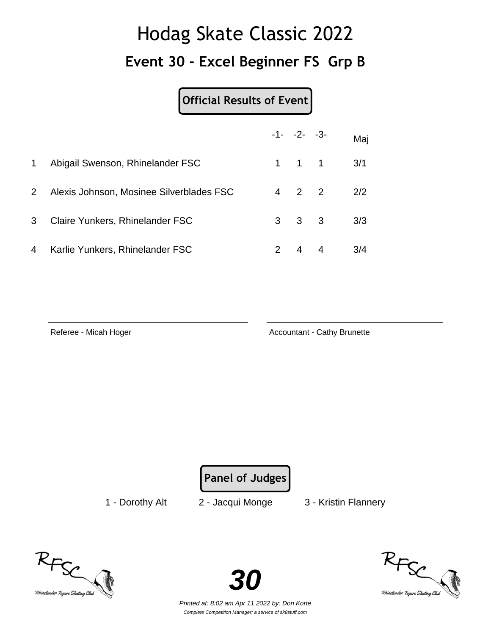# Hodag Skate Classic 2022 **Event 30 - Excel Beginner FS Grp B**

### **Official Results of Event**

|              |                                          |               | $-1 - -2 - -3$      |                | Maj |
|--------------|------------------------------------------|---------------|---------------------|----------------|-----|
| 1            | Abigail Swenson, Rhinelander FSC         |               | $1 \quad 1 \quad 1$ |                | 3/1 |
| $\mathbf{2}$ | Alexis Johnson, Mosinee Silverblades FSC |               | $4\quad 2\quad 2$   |                | 2/2 |
| 3            | Claire Yunkers, Rhinelander FSC          |               | $3 \quad 3 \quad 3$ |                | 3/3 |
| 4            | Karlie Yunkers, Rhinelander FSC          | $\mathcal{P}$ | $\overline{4}$      | $\overline{4}$ | 3/4 |

Referee - Micah Hoger **Accountant - Cathy Brunette** Accountant - Cathy Brunette

**Panel of Judges**

1 - Dorothy Alt 2 - Jacqui Monge 3 - Kristin Flannery





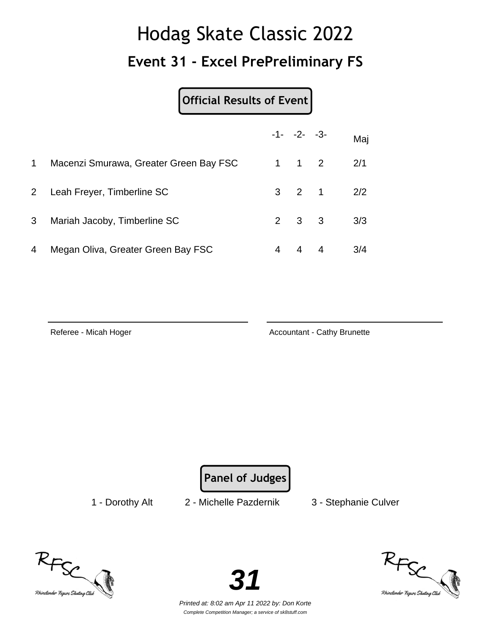## Hodag Skate Classic 2022 **Event 31 - Excel PrePreliminary FS**

**Official Results of Event**

|                |                                        |   | $-1 - -2 - -3$      |                   | Maj |
|----------------|----------------------------------------|---|---------------------|-------------------|-----|
| 1              | Macenzi Smurawa, Greater Green Bay FSC |   | $1 \quad 1 \quad 2$ |                   | 2/1 |
|                | 2 Leah Freyer, Timberline SC           |   |                     | $3 \t2 \t1 \t2/2$ |     |
| 3 <sup>7</sup> | Mariah Jacoby, Timberline SC           |   | $2 \quad 3 \quad 3$ |                   | 3/3 |
| 4              | Megan Oliva, Greater Green Bay FSC     | 4 | 4 4                 |                   | 3/4 |

Referee - Micah Hoger **Accountant - Cathy Brunette** Accountant - Cathy Brunette

**Panel of Judges**

1 - Dorothy Alt 2 - Michelle Pazdernik 3 - Stephanie Culver





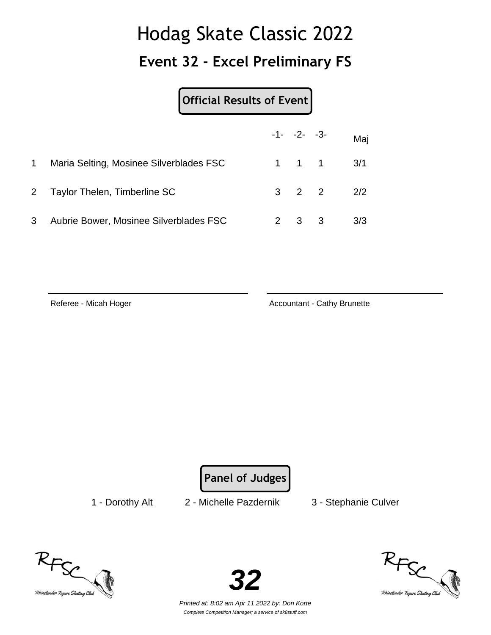### **Event 32 - Excel Preliminary FS**

#### **Official Results of Event**

|              |                                         | $-1 - -2 - -3$      |                               | Maj |
|--------------|-----------------------------------------|---------------------|-------------------------------|-----|
| $\mathbf{1}$ | Maria Selting, Mosinee Silverblades FSC |                     | $1 \quad 1 \quad 1 \quad 3/1$ |     |
|              | 2 Taylor Thelen, Timberline SC          |                     | $3 \t2 \t2 \t2 \t2$           |     |
| 3            | Aubrie Bower, Mosinee Silverblades FSC  | $2 \quad 3 \quad 3$ |                               | 3/3 |

Referee - Micah Hoger **Accountant - Cathy Brunette** Accountant - Cathy Brunette

**Panel of Judges**

1 - Dorothy Alt 2 - Michelle Pazdernik 3 - Stephanie Culver





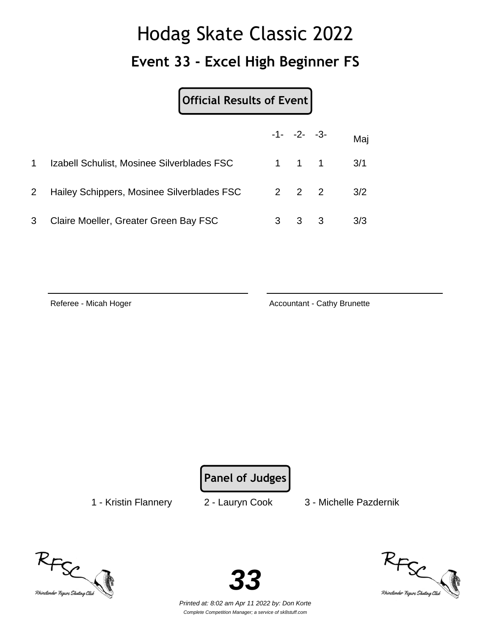### **Event 33 - Excel High Beginner FS**

#### **Official Results of Event**

|             |                                            |       | $-1 - -2 - -3$ |                               | Maj |
|-------------|--------------------------------------------|-------|----------------|-------------------------------|-----|
| 1           | Izabell Schulist, Mosinee Silverblades FSC |       |                | $1 \quad 1 \quad 1 \quad 3/1$ |     |
| $2^{\circ}$ | Hailey Schippers, Mosinee Silverblades FSC | 2 2 2 |                |                               | 3/2 |
| 3           | Claire Moeller, Greater Green Bay FSC      | 3     | 3 <sub>3</sub> |                               | 3/3 |

Referee - Micah Hoger **Accountant - Cathy Brunette** Accountant - Cathy Brunette

**Panel of Judges**

1 - Kristin Flannery 2 - Lauryn Cook 3 - Michelle Pazdernik





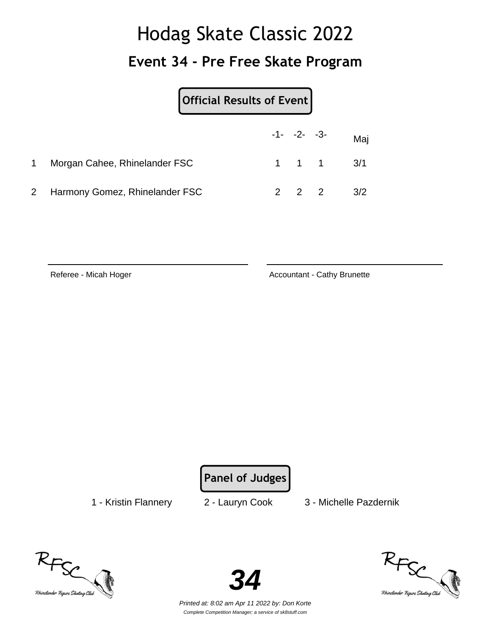## Hodag Skate Classic 2022 **Event 34 - Pre Free Skate Program**

|                                  | Official Results of Event |  |  |                               |
|----------------------------------|---------------------------|--|--|-------------------------------|
|                                  |                           |  |  | $-1$ - $-2$ - $-3$ - Maj      |
| Morgan Cahee, Rhinelander FSC    |                           |  |  | $1 \quad 1 \quad 1 \quad 3/1$ |
| 2 Harmony Gomez, Rhinelander FSC |                           |  |  | 3/2                           |

Referee - Micah Hoger Accountant - Cathy Brunette

**Panel of Judges**

1 - Kristin Flannery 2 - Lauryn Cook 3 - Michelle Pazdernik





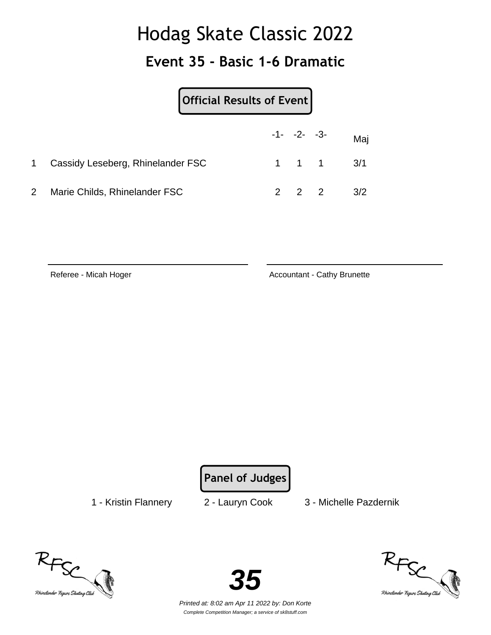#### **Event 35 - Basic 1-6 Dramatic**

|              |                                   | Official Results of Event |  |                  |                               |  |
|--------------|-----------------------------------|---------------------------|--|------------------|-------------------------------|--|
|              |                                   |                           |  | $-1 - -2 - -3 -$ | Maj                           |  |
|              | Cassidy Leseberg, Rhinelander FSC |                           |  |                  | $1 \quad 1 \quad 1 \quad 3/1$ |  |
| $\mathbf{2}$ | Marie Childs, Rhinelander FSC     |                           |  |                  | $2 \t2 \t2 \t3/2$             |  |

Referee - Micah Hoger Accountant - Cathy Brunette

**Panel of Judges**

1 - Kristin Flannery 2 - Lauryn Cook 3 - Michelle Pazdernik





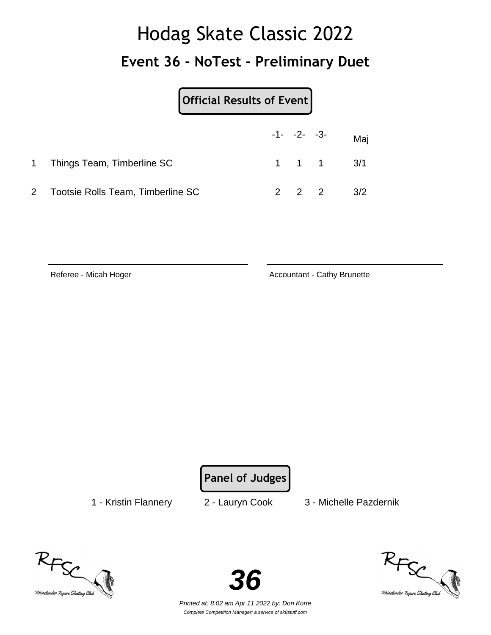# Hodag Skate Classic 2022 **Event 36 - NoTest - Preliminary Duet**

| Official Results of Event           |  |                               |  |
|-------------------------------------|--|-------------------------------|--|
|                                     |  | $-1$ - $-2$ - $-3$ - Maj      |  |
| 1 Things Team, Timberline SC        |  | $1 \quad 1 \quad 1 \quad 3/1$ |  |
| 2 Tootsie Rolls Team, Timberline SC |  | $2 \t2 \t2 \t3/2$             |  |

Referee - Micah Hoger Accountant - Cathy Brunette

**Panel of Judges**

1 - Kristin Flannery 2 - Lauryn Cook 3 - Michelle Pazdernik





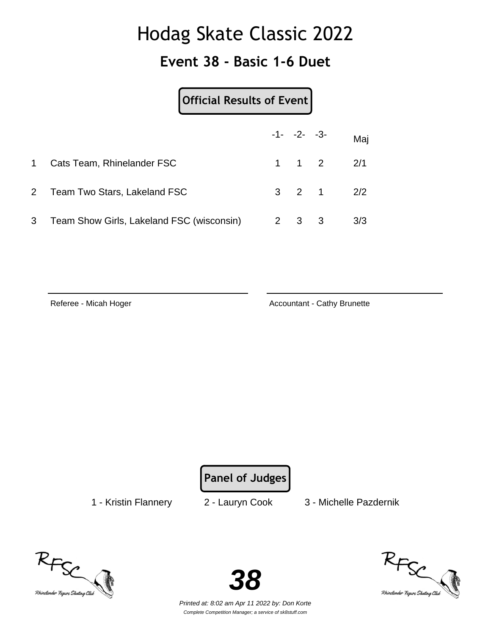### **Event 38 - Basic 1-6 Duet**

### **Official Results of Event**

|           |                                             | $-1 - -2 - -3$      |                               | Maj |
|-----------|---------------------------------------------|---------------------|-------------------------------|-----|
| $1 \quad$ | Cats Team, Rhinelander FSC                  |                     | $1 \quad 1 \quad 2 \quad 2/1$ |     |
|           | 2 Team Two Stars, Lakeland FSC              |                     | $3 \t2 \t1 \t2/2$             |     |
|           | 3 Team Show Girls, Lakeland FSC (wisconsin) | $2 \quad 3 \quad 3$ |                               | 3/3 |

Referee - Micah Hoger **Accountant - Cathy Brunette** Accountant - Cathy Brunette

**Panel of Judges**

1 - Kristin Flannery 2 - Lauryn Cook 3 - Michelle Pazdernik





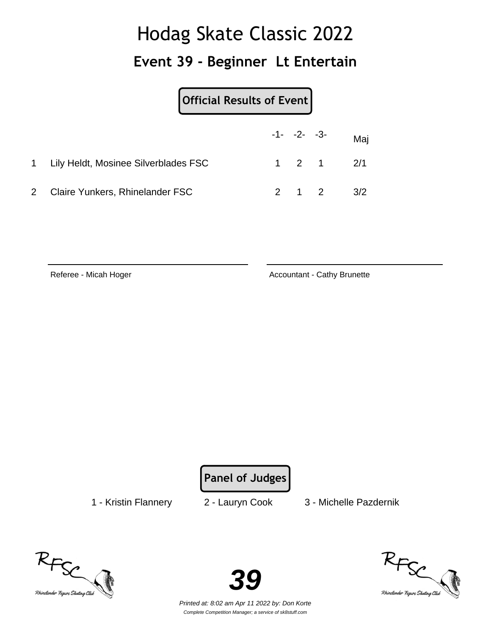#### **Event 39 - Beginner Lt Entertain**

|                                        | Official Results of Event |  |  |                      |
|----------------------------------------|---------------------------|--|--|----------------------|
|                                        |                           |  |  | $-1 - -2 - -3 -$ Maj |
| 1 Lily Heldt, Mosinee Silverblades FSC |                           |  |  | $1 \t2 \t1 \t2/1$    |
| <b>Claire Yunkers, Rhinelander FSC</b> |                           |  |  | $2 \t 1 \t 2 \t 3/2$ |

Referee - Micah Hoger Accountant - Cathy Brunette

**Panel of Judges**

1 - Kristin Flannery 2 - Lauryn Cook 3 - Michelle Pazdernik





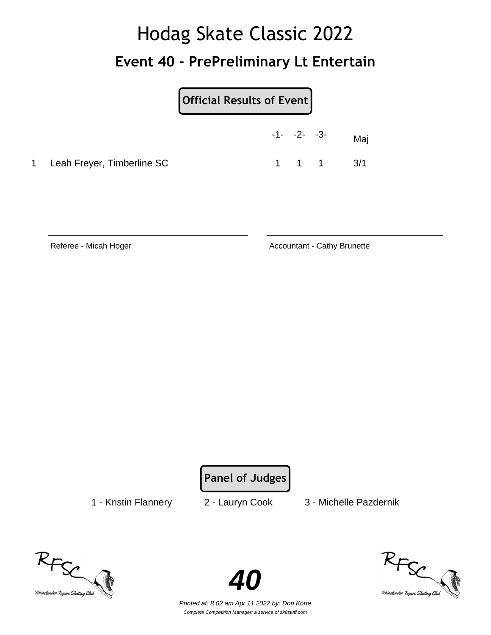## Hodag Skate Classic 2022 **Event 40 - PrePreliminary Lt Entertain**

|                              |  | $-1 - -2 - -3 -$ | Maj                           |
|------------------------------|--|------------------|-------------------------------|
| 1 Leah Freyer, Timberline SC |  |                  | $1 \quad 1 \quad 1 \quad 3/1$ |

Referee - Micah Hoger **Accountant - Cathy Brunette** Accountant - Cathy Brunette

**Panel of Judges**

1 - Kristin Flannery 2 - Lauryn Cook 3 - Michelle Pazdernik